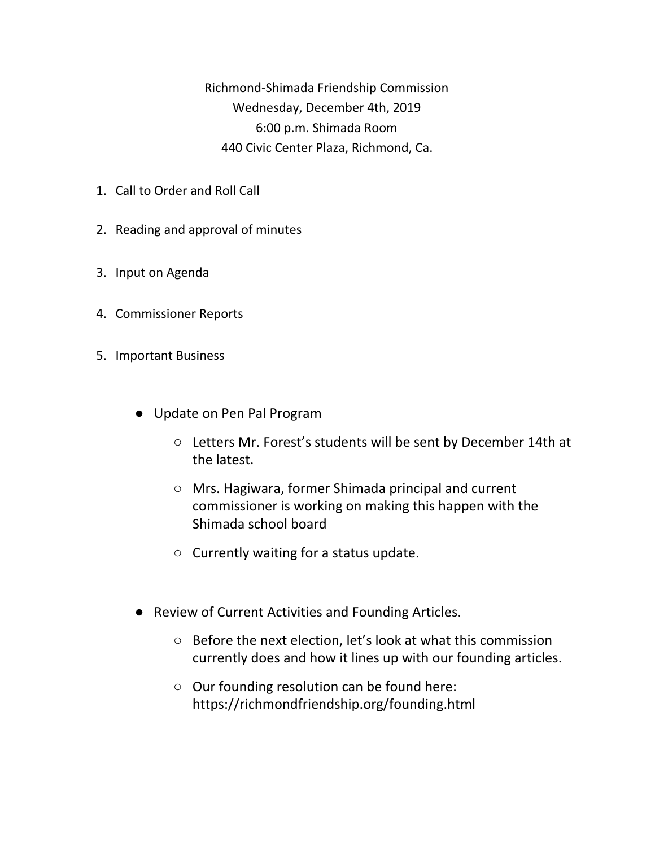Richmond-Shimada Friendship Commission Wednesday, December 4th, 2019 6:00 p.m. Shimada Room 440 Civic Center Plaza, Richmond, Ca.

- 1. Call to Order and Roll Call
- 2. Reading and approval of minutes
- 3. Input on Agenda
- 4. Commissioner Reports
- 5. Important Business
	- Update on Pen Pal Program
		- Letters Mr. Forest's students will be sent by December 14th at the latest.
		- Mrs. Hagiwara, former Shimada principal and current commissioner is working on making this happen with the Shimada school board
		- Currently waiting for a status update.
	- Review of Current Activities and Founding Articles.
		- Before the next election, let's look at what this commission currently does and how it lines up with our founding articles.
		- Our founding resolution can be found here: https://richmondfriendship.org/founding.html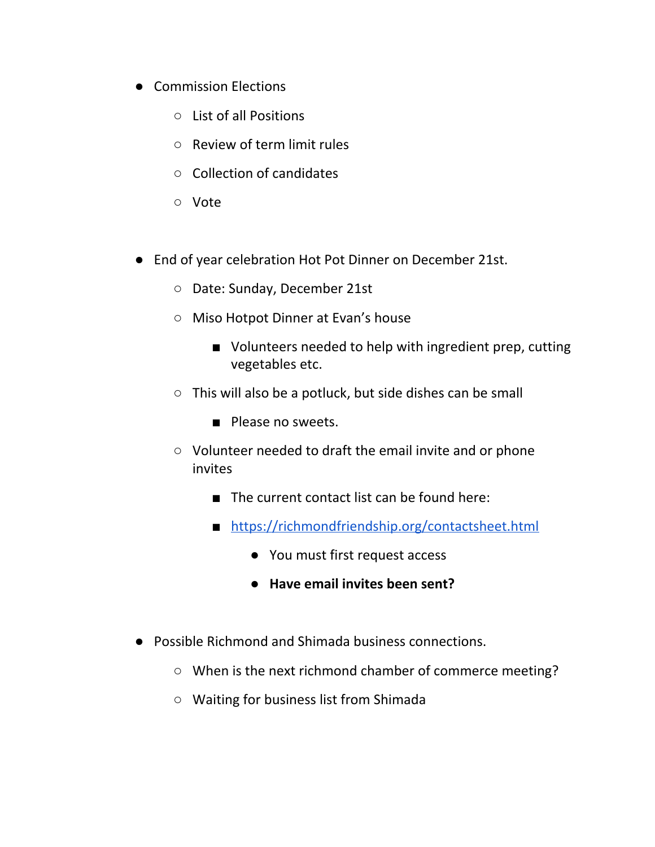- Commission Elections
	- List of all Positions
	- Review of term limit rules
	- Collection of candidates
	- Vote
- End of year celebration Hot Pot Dinner on December 21st.
	- Date: Sunday, December 21st
	- Miso Hotpot Dinner at Evan's house
		- Volunteers needed to help with ingredient prep, cutting vegetables etc.
	- This will also be a potluck, but side dishes can be small
		- Please no sweets.
	- Volunteer needed to draft the email invite and or phone invites
		- The current contact list can be found here:
		- <https://richmondfriendship.org/contactsheet.html>
			- You must first request access
			- **● Have email invites been sent?**
- Possible Richmond and Shimada business connections.
	- When is the next richmond chamber of commerce meeting?
	- Waiting for business list from Shimada